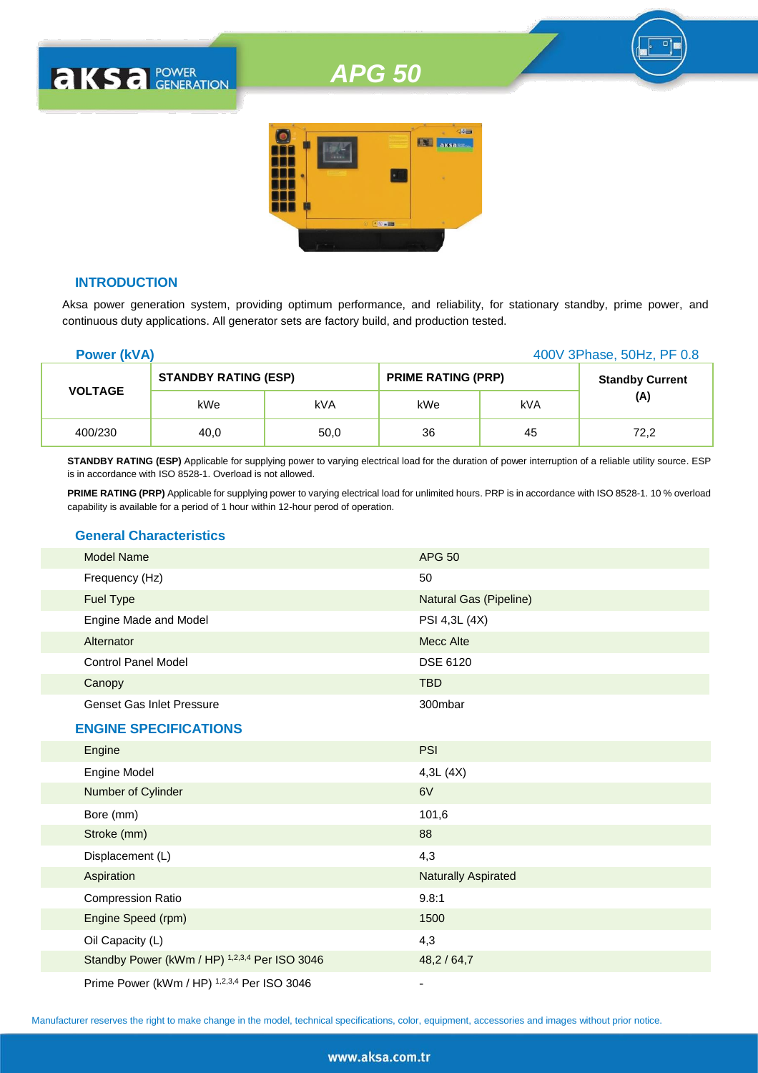# *APG 50*



## **INTRODUCTION**

**AKSA POWER** 

Aksa power generation system, providing optimum performance, and reliability, for stationary standby, prime power, and continuous duty applications. All generator sets are factory build, and production tested.

| <b>Power (kVA)</b> |                             |      |                           |     | 400V 3Phase, 50Hz, PF 0.8 |
|--------------------|-----------------------------|------|---------------------------|-----|---------------------------|
|                    | <b>STANDBY RATING (ESP)</b> |      | <b>PRIME RATING (PRP)</b> |     | <b>Standby Current</b>    |
| <b>VOLTAGE</b>     | kWe                         | kVA  | kWe                       | kVA | (A)                       |
| 400/230            | 40,0                        | 50,0 | 36                        | 45  | 72,2                      |

**STANDBY RATING (ESP)** Applicable for supplying power to varying electrical load for the duration of power interruption of a reliable utility source. ESP is in accordance with ISO 8528-1. Overload is not allowed.

**PRIME RATING (PRP)** Applicable for supplying power to varying electrical load for unlimited hours. PRP is in accordance with ISO 8528-1. 10 % overload capability is available for a period of 1 hour within 12-hour perod of operation.

# **General Characteristics**

| <b>Model Name</b>                             | <b>APG 50</b>                 |
|-----------------------------------------------|-------------------------------|
| Frequency (Hz)                                | 50                            |
| Fuel Type                                     | <b>Natural Gas (Pipeline)</b> |
| Engine Made and Model                         | PSI 4,3L (4X)                 |
| Alternator                                    | <b>Mecc Alte</b>              |
| <b>Control Panel Model</b>                    | <b>DSE 6120</b>               |
| Canopy                                        | <b>TBD</b>                    |
| <b>Genset Gas Inlet Pressure</b>              | 300mbar                       |
| <b>ENGINE SPECIFICATIONS</b>                  |                               |
| Engine                                        | <b>PSI</b>                    |
| Engine Model                                  | 4,3L(4X)                      |
| Number of Cylinder                            | 6V                            |
| Bore (mm)                                     | 101,6                         |
| Stroke (mm)                                   | 88                            |
| Displacement (L)                              | 4,3                           |
| Aspiration                                    | <b>Naturally Aspirated</b>    |
| <b>Compression Ratio</b>                      | 9.8:1                         |
| Engine Speed (rpm)                            | 1500                          |
| Oil Capacity (L)                              | 4,3                           |
| Standby Power (kWm / HP) 1,2,3,4 Per ISO 3046 | 48,2 / 64,7                   |
| Prime Power (kWm / HP) 1,2,3,4 Per ISO 3046   |                               |

Manufacturer reserves the right to make change in the model, technical specifications, color, equipment, accessories and images without prior notice.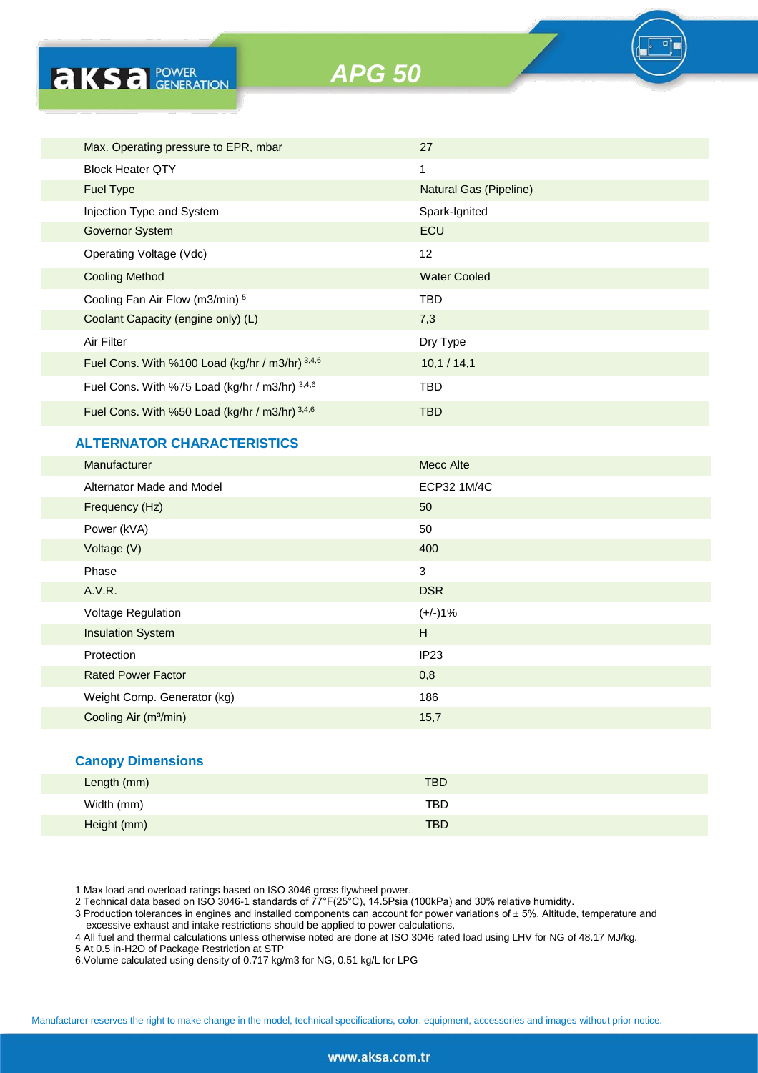**AKSA POWER** 

*APG 50*



# **ALTERNATOR CHARACTERISTICS**

| <b>Manufacturer</b>               | <b>Mecc Alte</b> |
|-----------------------------------|------------------|
| Alternator Made and Model         | ECP32 1M/4C      |
| Frequency (Hz)                    | 50               |
| Power (kVA)                       | 50               |
| Voltage (V)                       | 400              |
| Phase                             | 3                |
| A.V.R.                            | <b>DSR</b>       |
| <b>Voltage Regulation</b>         | $(+/-)1%$        |
| <b>Insulation System</b>          | H                |
| Protection                        | IP23             |
| <b>Rated Power Factor</b>         | 0,8              |
| Weight Comp. Generator (kg)       | 186              |
| Cooling Air (m <sup>3</sup> /min) | 15,7             |
|                                   |                  |

#### **Canopy Dimensions**

| Length (mm) | <b>TBD</b> |
|-------------|------------|
| Width (mm)  | TBD        |
| Height (mm) | <b>TBD</b> |

1 Max load and overload ratings based on ISO 3046 gross flywheel power.

2 Technical data based on ISO 3046-1 standards of 77°F(25°C), 14.5Psia (100kPa) and 30% relative humidity.

3 Production tolerances in engines and installed components can account for power variations of ± 5%. Altitude, temperature and excessive exhaust and intake restrictions should be applied to power calculations.

4 All fuel and thermal calculations unless otherwise noted are done at ISO 3046 rated load using LHV for NG of 48.17 MJ/kg.

5 At 0.5 in-H2O of Package Restriction at STP

6.Volume calculated using density of 0.717 kg/m3 for NG, 0.51 kg/L for LPG

Manufacturer reserves the right to make change in the model, technical specifications, color, equipment, accessories and images without prior notice.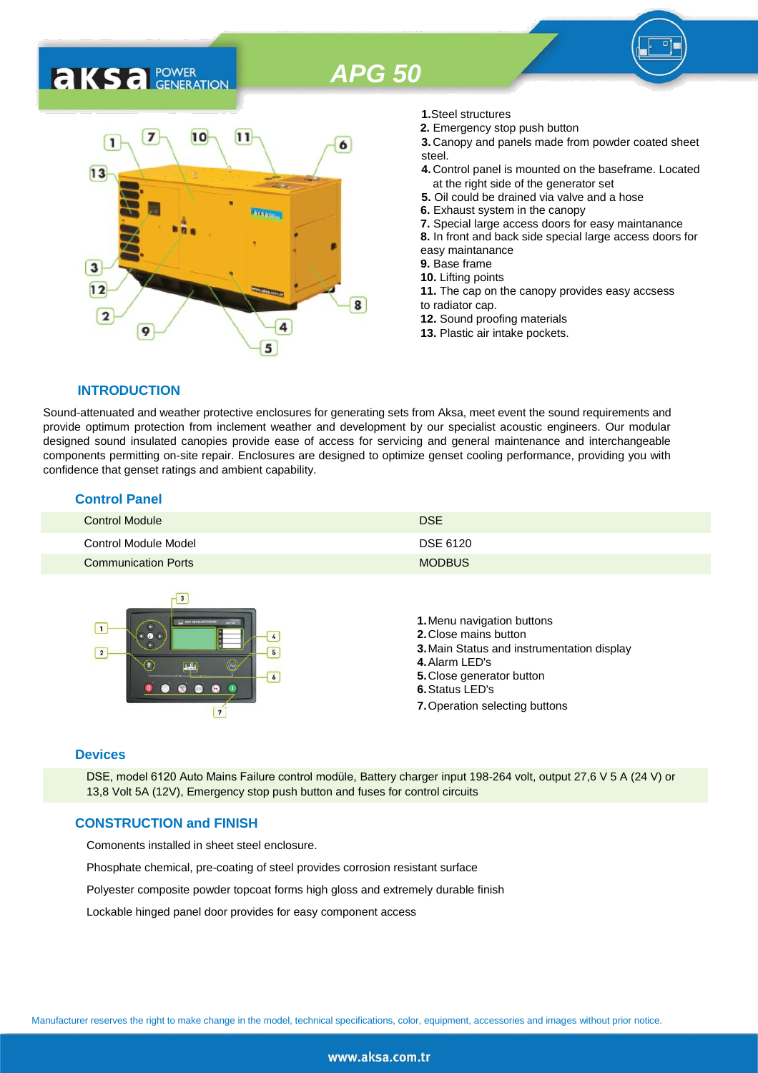# *APG 50*

# 7  $10$  $11$ 6  $13$ 3  $12$ 8  $\overline{2}$ 9 5

- **1.**Steel structures
- **2.** Emergency stop push button
- **3.** Canopy and panels made from powder coated sheet steel.
- **4.** Control panel is mounted on the baseframe. Located at the right side of the generator set
- **5.** Oil could be drained via valve and a hose
- **6.** Exhaust system in the canopy
- **7.** Special large access doors for easy maintanance
- **8.** In front and back side special large access doors for
- easy maintanance
- **9.** Base frame
- **10.** Lifting points
- **11.** The cap on the canopy provides easy accsess to radiator cap.
- **12.** Sound proofing materials
- **13.** Plastic air intake pockets.

# **INTRODUCTION**

**AKSA FOWER** 

Sound-attenuated and weather protective enclosures for generating sets from Aksa, meet event the sound requirements and provide optimum protection from inclement weather and development by our specialist acoustic engineers. Our modular designed sound insulated canopies provide ease of access for servicing and general maintenance and interchangeable components permitting on-site repair. Enclosures are designed to optimize genset cooling performance, providing you with confidence that genset ratings and ambient capability.

# **Control Panel**

| <b>Control Module</b>      | <b>DSE</b>    |
|----------------------------|---------------|
| Control Module Model       | DSE 6120      |
| <b>Communication Ports</b> | <b>MODBUS</b> |



#### **Devices**

DSE, model 6120 Auto Mains Failure control modüle, Battery charger input 198-264 volt, output 27,6 V 5 A (24 V) or 13,8 Volt 5A (12V), Emergency stop push button and fuses for control circuits

### **CONSTRUCTION and FINISH**

Comonents installed in sheet steel enclosure.

Phosphate chemical, pre-coating of steel provides corrosion resistant surface

Polyester composite powder topcoat forms high gloss and extremely durable finish

Lockable hinged panel door provides for easy component access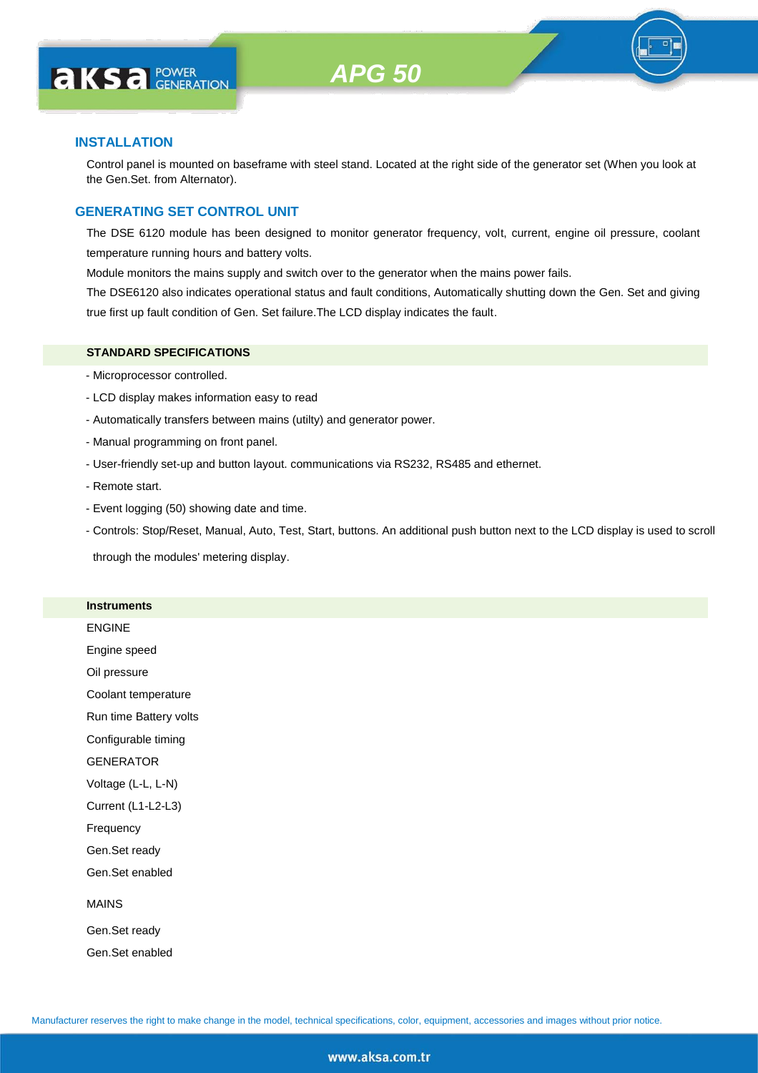

## **INSTALLATION**

Control panel is mounted on baseframe with steel stand. Located at the right side of the generator set (When you look at the Gen.Set. from Alternator).

# **GENERATING SET CONTROL UNIT**

The DSE 6120 module has been designed to monitor generator frequency, volt, current, engine oil pressure, coolant temperature running hours and battery volts.

Module monitors the mains supply and switch over to the generator when the mains power fails.

The DSE6120 also indicates operational status and fault conditions, Automatically shutting down the Gen. Set and giving true first up fault condition of Gen. Set failure.The LCD display indicates the fault.

### **STANDARD SPECIFICATIONS**

- Microprocessor controlled.
- LCD display makes information easy to read
- Automatically transfers between mains (utilty) and generator power.
- Manual programming on front panel.
- User-friendly set-up and button layout. communications via RS232, RS485 and ethernet.
- Remote start.
- Event logging (50) showing date and time.
- Controls: Stop/Reset, Manual, Auto, Test, Start, buttons. An additional push button next to the LCD display is used to scroll

through the modules' metering display.

#### **Instruments**

ENGINE Engine speed Oil pressure

Coolant temperature

Run time Battery volts

Configurable timing

GENERATOR

Voltage (L-L, L-N)

Current (L1-L2-L3)

Frequency

Gen.Set ready

Gen.Set enabled

### MAINS

Gen.Set ready Gen.Set enabled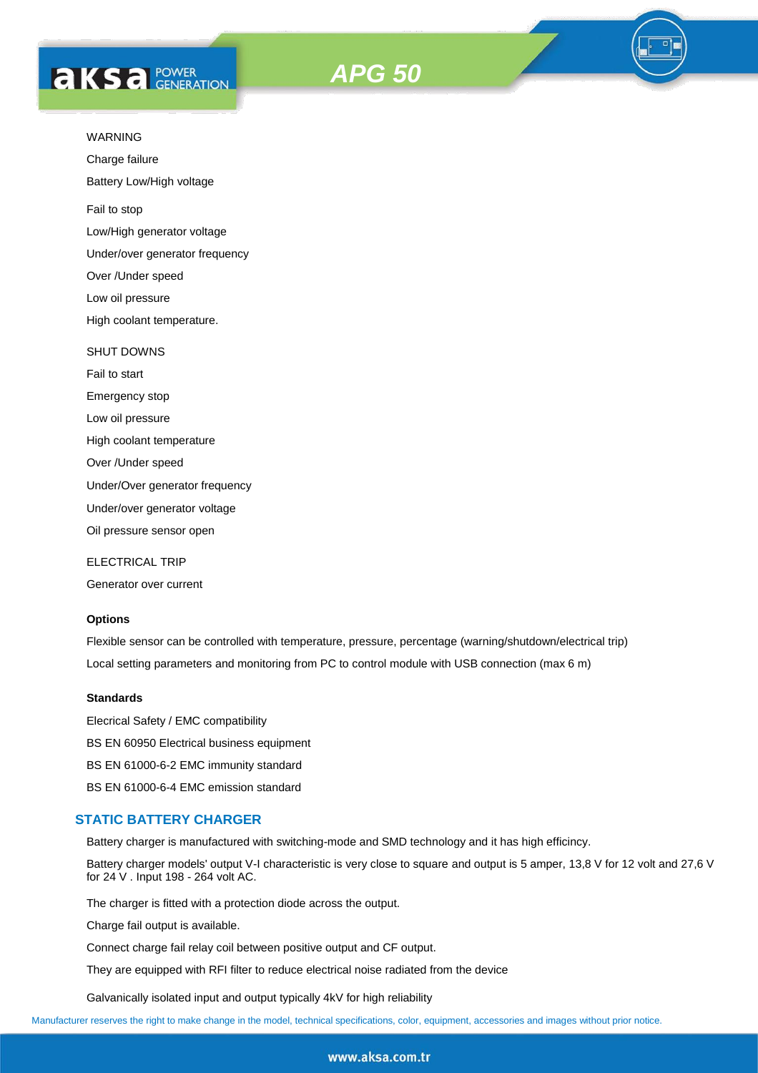



Charge failure

Battery Low/High voltage

Fail to stop

Low/High generator voltage

Under/over generator frequency

Over /Under speed

Low oil pressure

High coolant temperature.

#### SHUT DOWNS

Fail to start Emergency stop Low oil pressure

High coolant temperature

Over /Under speed

Under/Over generator frequency

Under/over generator voltage

Oil pressure sensor open

ELECTRICAL TRIP

Generator over current

# **Options**

Flexible sensor can be controlled with temperature, pressure, percentage (warning/shutdown/electrical trip) Local setting parameters and monitoring from PC to control module with USB connection (max 6 m)

### **Standards**

Elecrical Safety / EMC compatibility BS EN 60950 Electrical business equipment BS EN 61000-6-2 EMC immunity standard BS EN 61000-6-4 EMC emission standard

#### **STATIC BATTERY CHARGER**

Battery charger is manufactured with switching-mode and SMD technology and it has high efficincy.

Battery charger models' output V-I characteristic is very close to square and output is 5 amper, 13,8 V for 12 volt and 27,6 V for 24 V . Input 198 - 264 volt AC.

The charger is fitted with a protection diode across the output.

Charge fail output is available.

Connect charge fail relay coil between positive output and CF output.

They are equipped with RFI filter to reduce electrical noise radiated from the device

Galvanically isolated input and output typically 4kV for high reliability

Manufacturer reserves the right to make change in the model, technical specifications, color, equipment, accessories and images without prior notice.